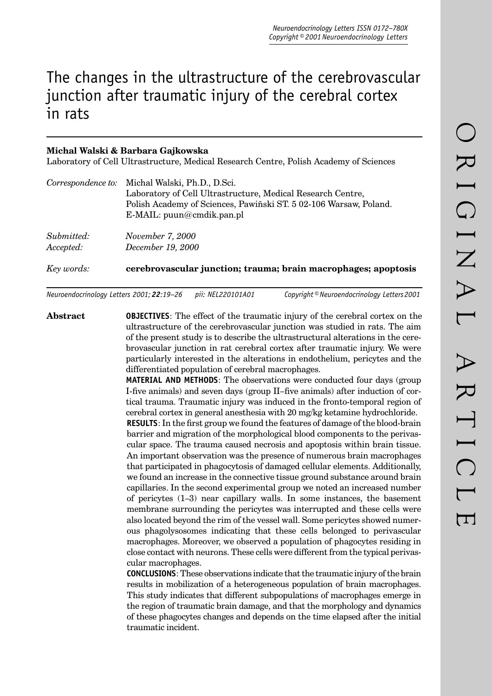# The changes in the ultrastructure of the cerebrovascular junction after traumatic injury of the cerebral cortex in rats

# **Michal Walski & Barbara Gajkowska**

Laboratory of Cell Ultrastructure, Medical Research Centre, Polish Academy of Sciences

|            | Correspondence to: Michal Walski, Ph.D., D.Sci.                   |
|------------|-------------------------------------------------------------------|
|            | Laboratory of Cell Ultrastructure, Medical Research Centre,       |
|            | Polish Academy of Sciences, Pawiñski ST. 5 02-106 Warsaw, Poland. |
|            | E-MAIL: $p$ uun@cmdik.pan.pl                                      |
| Submitted: | November 7, 2000                                                  |
| Accepted:  | December 19, 2000                                                 |
| Key words: | cerebrovascular junction; trauma; brain macrophages; apoptosis    |
|            |                                                                   |

*Neuroendocrinology Letters 2001; 22:19–26 pii: NEL220101A01 Copyright © Neuroendocrinology Letters 2001*

**Abstract OBJECTIVES**: The effect of the traumatic injury of the cerebral cortex on the ultrastructure of the cerebrovascular junction was studied in rats. The aim of the present study is to describe the ultrastructural alterations in the cerebrovascular junction in rat cerebral cortex after traumatic injury. We were particularly interested in the alterations in endothelium, pericytes and the differentiated population of cerebral macrophages.

**MATERIAL AND METHODS**: The observations were conducted four days (group I-five animals) and seven days (group II-five animals) after induction of cortical trauma. Traumatic injury was induced in the fronto-temporal region of cerebral cortex in general anesthesia with 20 mg/kg ketamine hydrochloride.

**RESULTS**: In the first group we found the features of damage of the blood-brain barrier and migration of the morphological blood components to the perivascular space. The trauma caused necrosis and apoptosis within brain tissue. An important observation was the presence of numerous brain macrophages that participated in phagocytosis of damaged cellular elements. Additionally, we found an increase in the connective tissue ground substance around brain capillaries. In the second experimental group we noted an increased number of pericytes (1–3) near capillary walls. In some instances, the basement membrane surrounding the pericytes was interrupted and these cells were also located beyond the rim of the vessel wall. Some pericytes showed numerous phagolysosomes indicating that these cells belonged to perivascular macrophages. Moreover, we observed a population of phagocytes residing in close contact with neurons. These cells were different from the typical perivascular macrophages.

**CONCLUSIONS**: These observations indicate that the traumatic injury of the brain results in mobilization of a heterogeneous population of brain macrophages. This study indicates that different subpopulations of macrophages emerge in the region of traumatic brain damage, and that the morphology and dynamics of these phagocytes changes and depends on the time elapsed after the initial traumatic incident.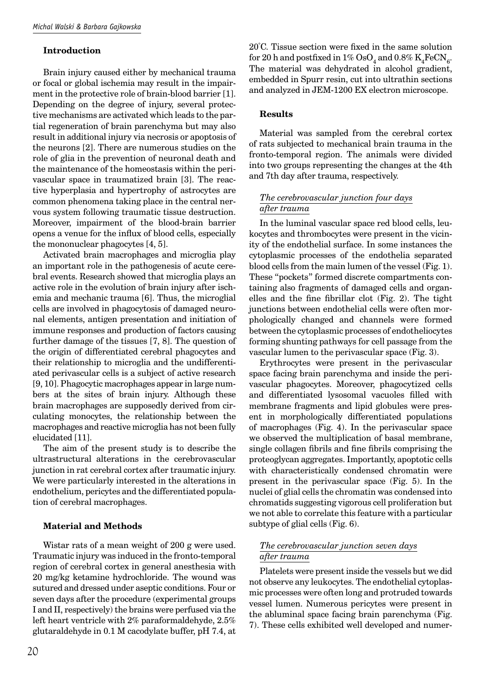#### **Introduction**

Brain injury caused either by mechanical trauma or focal or global ischemia may result in the impairment in the protective role of brain-blood barrier [1]. Depending on the degree of injury, several protective mechanisms are activated which leads to the partial regeneration of brain parenchyma but may also result in additional injury via necrosis or apoptosis of the neurons [2]. There are numerous studies on the role of glia in the prevention of neuronal death and the maintenance of the homeostasis within the perivascular space in traumatized brain [3]. The reactive hyperplasia and hypertrophy of astrocytes are common phenomena taking place in the central nervous system following traumatic tissue destruction. Moreover, impairment of the blood-brain barrier opens a venue for the influx of blood cells, especially the mononuclear phagocytes [4, 5].

Activated brain macrophages and microglia play an important role in the pathogenesis of acute cerebral events. Research showed that microglia plays an active role in the evolution of brain injury after ischemia and mechanic trauma [6]. Thus, the microglial cells are involved in phagocytosis of damaged neuronal elements, antigen presentation and initiation of immune responses and production of factors causing further damage of the tissues [7, 8]. The question of the origin of differentiated cerebral phagocytes and their relationship to microglia and the undifferentiated perivascular cells is a subject of active research [9, 10]. Phagocytic macrophages appear in large numbers at the sites of brain injury. Although these brain macrophages are supposedly derived from circulating monocytes, the relationship between the macrophages and reactive microglia has not been fully elucidated [11].

The aim of the present study is to describe the ultrastructural alterations in the cerebrovascular junction in rat cerebral cortex after traumatic injury. We were particularly interested in the alterations in endothelium, pericytes and the differentiated population of cerebral macrophages.

# **Material and Methods**

Wistar rats of a mean weight of 200 g were used. Traumatic injury was induced in the fronto-temporal region of cerebral cortex in general anesthesia with 20 mg/kg ketamine hydrochloride. The wound was sutured and dressed under aseptic conditions. Four or seven days after the procedure (experimental groups I and II, respectively) the brains were perfused via the left heart ventricle with 2% paraformaldehyde, 2.5% glutaraldehyde in 0.1 M cacodylate buffer, pH 7.4, at

20°C. Tissue section were fixed in the same solution for 20 h and postfixed in  $1\%$  OsO<sub>4</sub> and 0.8% K<sub>4</sub>FeCN<sub>6</sub>. The material was dehydrated in alcohol gradient, embedded in Spurr resin, cut into ultrathin sections and analyzed in JEM-1200 EX electron microscope.

#### **Results**

Material was sampled from the cerebral cortex of rats subjected to mechanical brain trauma in the fronto-temporal region. The animals were divided into two groups representing the changes at the 4th and 7th day after trauma, respectively.

# *The cerebrovascular junction four days after trauma*

In the luminal vascular space red blood cells, leukocytes and thrombocytes were present in the vicinity of the endothelial surface. In some instances the cytoplasmic processes of the endothelia separated blood cells from the main lumen of the vessel (Fig. 1). These "pockets" formed discrete compartments containing also fragments of damaged cells and organelles and the fine fibrillar clot (Fig. 2). The tight junctions between endothelial cells were often morphologically changed and channels were formed between the cytoplasmic processes of endotheliocytes forming shunting pathways for cell passage from the vascular lumen to the perivascular space (Fig. 3).

Erythrocytes were present in the perivascular space facing brain parenchyma and inside the perivascular phagocytes. Moreover, phagocytized cells and differentiated lysosomal vacuoles filled with membrane fragments and lipid globules were present in morphologically differentiated populations of macrophages (Fig. 4). In the perivascular space we observed the multiplication of basal membrane, single collagen fibrils and fine fibrils comprising the proteoglycan aggregates. Importantly, apoptotic cells with characteristically condensed chromatin were present in the perivascular space (Fig. 5). In the nuclei of glial cells the chromatin was condensed into chromatids suggesting vigorous cell proliferation but we not able to correlate this feature with a particular subtype of glial cells (Fig. 6).

# *The cerebrovascular junction seven days after trauma*

Platelets were present inside the vessels but we did not observe any leukocytes. The endothelial cytoplasmic processes were often long and protruded towards vessel lumen. Numerous pericytes were present in the abluminal space facing brain parenchyma (Fig. 7). These cells exhibited well developed and numer-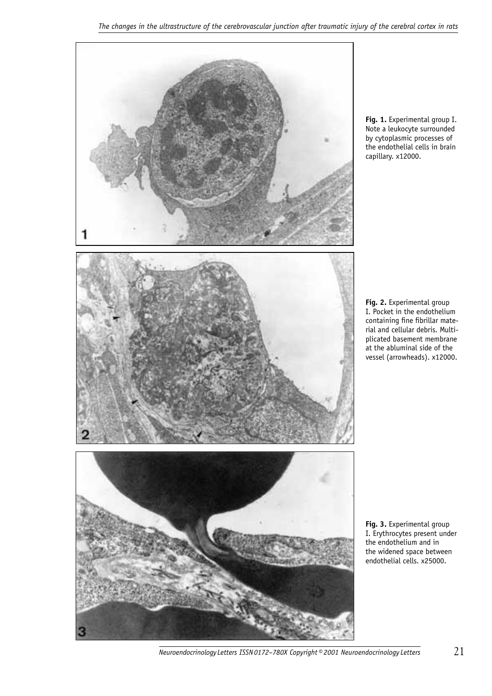

**Fig. 1.** Experimental group I. Note a leukocyte surrounded by cytoplasmic processes of the endothelial cells in brain capillary. x12000.

**Fig. 2.** Experimental group I. Pocket in the endothelium containing fine fibrillar material and cellular debris. Multiplicated basement membrane at the abluminal side of the vessel (arrowheads). x12000.

**Fig. 3.** Experimental group I. Erythrocytes present under the endothelium and in the widened space between endothelial cells. x25000.

*Neuroendocrinology Letters ISSN 0172–780X Copyright © 2001 Neuroendocrinology Letters* 21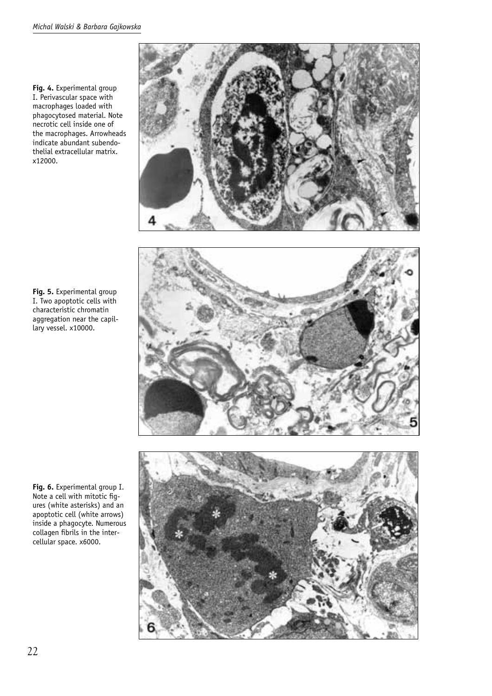**Fig. 4.** Experimental group I. Perivascular space with macrophages loaded with phagocytosed material. Note necrotic cell inside one of the macrophages. Arrowheads indicate abundant subendothelial extracellular matrix. x12000.



**Fig. 5.** Experimental group I. Two apoptotic cells with characteristic chromatin aggregation near the capillary vessel. x10000.

**Fig. 6.** Experimental group I. Note a cell with mitotic figures (white asterisks) and an apoptotic cell (white arrows) inside a phagocyte. Numerous collagen fibrils in the intercellular space. x6000.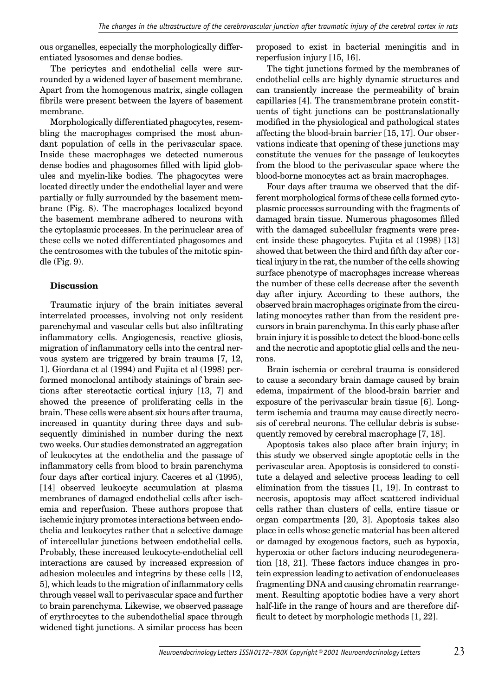ous organelles, especially the morphologically differentiated lysosomes and dense bodies.

The pericytes and endothelial cells were surrounded by a widened layer of basement membrane. Apart from the homogenous matrix, single collagen fibrils were present between the layers of basement membrane.

Morphologically differentiated phagocytes, resembling the macrophages comprised the most abundant population of cells in the perivascular space. Inside these macrophages we detected numerous dense bodies and phagosomes filled with lipid globules and myelin-like bodies. The phagocytes were located directly under the endothelial layer and were partially or fully surrounded by the basement membrane (Fig. 8). The macrophages localized beyond the basement membrane adhered to neurons with the cytoplasmic processes. In the perinuclear area of these cells we noted differentiated phagosomes and the centrosomes with the tubules of the mitotic spindle (Fig. 9).

#### **Discussion**

Traumatic injury of the brain initiates several interrelated processes, involving not only resident parenchymal and vascular cells but also infiltrating inflammatory cells. Angiogenesis, reactive gliosis, migration of inflammatory cells into the central nervous system are triggered by brain trauma [7, 12, 1]. Giordana et al (1994) and Fujita et al (1998) performed monoclonal antibody stainings of brain sections after stereotactic cortical injury [13, 7] and showed the presence of proliferating cells in the brain. These cells were absent six hours after trauma, increased in quantity during three days and subsequently diminished in number during the next two weeks. Our studies demonstrated an aggregation of leukocytes at the endothelia and the passage of inflammatory cells from blood to brain parenchyma four days after cortical injury. Caceres et al (1995), [14] observed leukocyte accumulation at plasma membranes of damaged endothelial cells after ischemia and reperfusion. These authors propose that ischemic injury promotes interactions between endothelia and leukocytes rather that a selective damage of intercellular junctions between endothelial cells. Probably, these increased leukocyte-endothelial cell interactions are caused by increased expression of adhesion molecules and integrins by these cells [12, 5], which leads to the migration of inflammatory cells through vessel wall to perivascular space and further to brain parenchyma. Likewise, we observed passage of erythrocytes to the subendothelial space through widened tight junctions. A similar process has been

proposed to exist in bacterial meningitis and in reperfusion injury [15, 16].

The tight junctions formed by the membranes of endothelial cells are highly dynamic structures and can transiently increase the permeability of brain capillaries [4]. The transmembrane protein constituents of tight junctions can be posttranslationally modified in the physiological and pathological states affecting the blood-brain barrier [15, 17]. Our observations indicate that opening of these junctions may constitute the venues for the passage of leukocytes from the blood to the perivascular space where the blood-borne monocytes act as brain macrophages.

Four days after trauma we observed that the different morphological forms of these cells formed cytoplasmic processes surrounding with the fragments of damaged brain tissue. Numerous phagosomes filled with the damaged subcellular fragments were present inside these phagocytes. Fujita et al (1998) [13] showed that between the third and fifth day after cortical injury in the rat, the number of the cells showing surface phenotype of macrophages increase whereas the number of these cells decrease after the seventh day after injury. According to these authors, the observed brain macrophages originate from the circulating monocytes rather than from the resident precursors in brain parenchyma. In this early phase after brain injury it is possible to detect the blood-bone cells and the necrotic and apoptotic glial cells and the neurons.

Brain ischemia or cerebral trauma is considered to cause a secondary brain damage caused by brain edema, impairment of the blood-brain barrier and exposure of the perivascular brain tissue [6]. Longterm ischemia and trauma may cause directly necrosis of cerebral neurons. The cellular debris is subsequently removed by cerebral macrophage [7, 18].

Apoptosis takes also place after brain injury; in this study we observed single apoptotic cells in the perivascular area. Apoptosis is considered to constitute a delayed and selective process leading to cell elimination from the tissues [1, 19]. In contrast to necrosis, apoptosis may affect scattered individual cells rather than clusters of cells, entire tissue or organ compartments [20, 3]. Apoptosis takes also place in cells whose genetic material has been altered or damaged by exogenous factors, such as hypoxia, hyperoxia or other factors inducing neurodegeneration [18, 21]. These factors induce changes in protein expression leading to activation of endonucleases fragmenting DNA and causing chromatin rearrangement. Resulting apoptotic bodies have a very short half-life in the range of hours and are therefore difficult to detect by morphologic methods  $[1, 22]$ .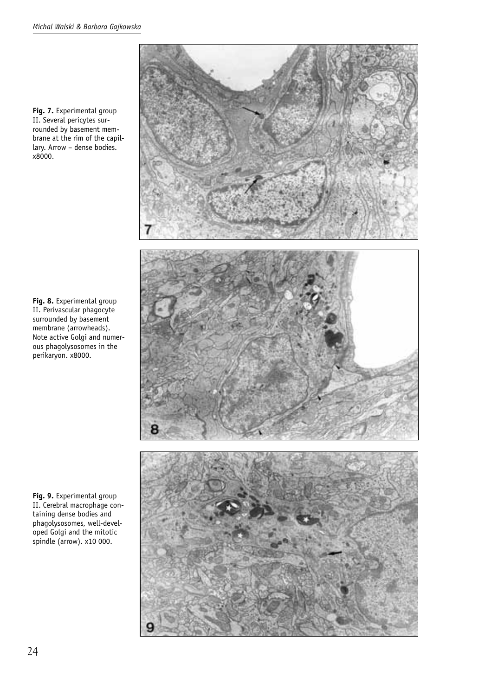**Fig. 7.** Experimental group II. Several pericytes surrounded by basement membrane at the rim of the capillary. Arrow – dense bodies. x8000.

**Fig. 8.** Experimental group II. Perivascular phagocyte surrounded by basement membrane (arrowheads). Note active Golgi and numerous phagolysosomes in the perikaryon. x8000.

**Fig. 9.** Experimental group II. Cerebral macrophage containing dense bodies and phagolysosomes, well-developed Golgi and the mitotic spindle (arrow). x10 000.

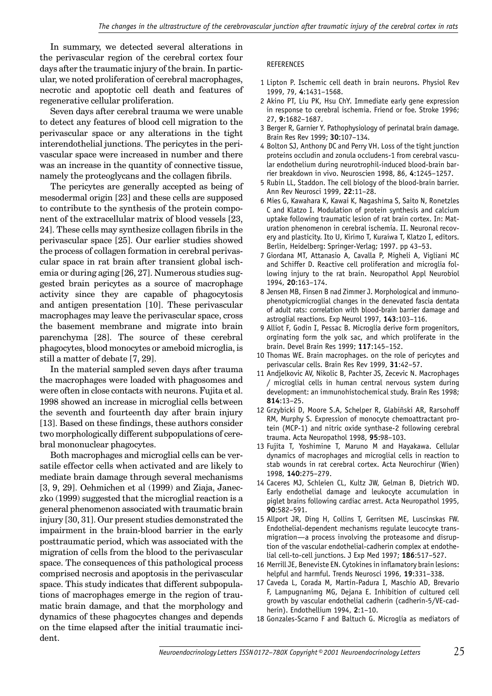In summary, we detected several alterations in the perivascular region of the cerebral cortex four days after the traumatic injury of the brain. In particular, we noted proliferation of cerebral macrophages, necrotic and apoptotic cell death and features of regenerative cellular proliferation.

Seven days after cerebral trauma we were unable to detect any features of blood cell migration to the perivascular space or any alterations in the tight interendothelial junctions. The pericytes in the perivascular space were increased in number and there was an increase in the quantity of connective tissue, namely the proteoglycans and the collagen fibrils.

The pericytes are generally accepted as being of mesodermal origin [23] and these cells are supposed to contribute to the synthesis of the protein component of the extracellular matrix of blood vessels [23, 24]. These cells may synthesize collagen fibrils in the perivascular space [25]. Our earlier studies showed the process of collagen formation in cerebral perivascular space in rat brain after transient global ischemia or during aging [26, 27]. Numerous studies suggested brain pericytes as a source of macrophage activity since they are capable of phagocytosis and antigen presentation [10]. These perivascular macrophages may leave the perivascular space, cross the basement membrane and migrate into brain parenchyma [28]. The source of these cerebral phagocytes, blood monocytes or ameboid microglia, is still a matter of debate [7, 29].

In the material sampled seven days after trauma the macrophages were loaded with phagosomes and were often in close contacts with neurons. Fujita et al. 1998 showed an increase in microglial cells between the seventh and fourteenth day after brain injury [13]. Based on these findings, these authors consider two morphologically different subpopulations of cerebral mononuclear phagocytes.

Both macrophages and microglial cells can be versatile effector cells when activated and are likely to mediate brain damage through several mechanisms [3, 9, 29]. Oehmichen et al (1999) and Ziaja, Janeczko (1999) suggested that the microglial reaction is a general phenomenon associated with traumatic brain injury [30, 31]. Our present studies demonstrated the impairment in the brain-blood barrier in the early posttraumatic period, which was associated with the migration of cells from the blood to the perivascular space. The consequences of this pathological process comprised necrosis and apoptosis in the perivascular space. This study indicates that different subpopulations of macrophages emerge in the region of traumatic brain damage, and that the morphology and dynamics of these phagocytes changes and depends on the time elapsed after the initial traumatic incident.

#### REFERENCES

- 1 Lipton P. Ischemic cell death in brain neurons. Physiol Rev 1999, 79, **4**:1431–1568.
- 2 Akino PT, Liu PK, Hsu ChY. Immediate early gene expression in response to cerebral ischemia. Friend or foe. Stroke 1996; 27, **9**:1682–1687.
- 3 Berger R, Garnier Y. Pathophysiology of perinatal brain damage. Brain Res Rev 1999; **30**:107–134.
- 4 Bolton SJ, Anthony DC and Perry VH. Loss of the tight junction proteins occludin and zonula occludens-1 from cerebral vascular endothelium during neurotrophil-induced blood-brain barrier breakdown in vivo. Neuroscien 1998, 86, **4**:1245–1257.
- 5 Rubin LL, Staddon. The cell biology of the blood-brain barrier. Ann Rev Neurosci 1999, **22**:11–28.
- 6 Mies G, Kawahara K, Kawai K, Nagashima S, Saito N, Ronetzles C and Klatzo I. Modulation of protein synthesis and calcium uptake following traumatic lesion of rat brain cortex. In: Maturation phenomenon in cerebral ischemia. II. Neuronal recovery and plasticity. Ito U, Kirimo T, Kuraiwa T, Klatzo I, editors. Berlin, Heidelberg: Springer-Verlag; 1997. pp 43–53.
- 7 Giordana MT, Attanasio A, Cavalla P, Migheli A, Vigliani MC and Schiffer D. Reactive cell proliferation and microglia following injury to the rat brain. Neuropathol Appl Neurobiol 1994, **20**:163–174.
- 8 Jensen MB, Finsen B nad Zimmer J. Morphological and immunophenotypicmicroglial changes in the denevated fascia dentata of adult rats: correlation with blood-brain barrier damage and astroglial reactions. Exp Neurol 1997, **143**:103–116.
- 9 Alliot F, Godin I, Pessac B. Microglia derive form progenitors, orginating form the yolk sac, and which proliferate in the brain. Devel Brain Res 1999; **117**:145–152.
- 10 Thomas WE. Brain macrophages. on the role of pericytes and perivascular cells. Brain Res Rev 1999, **31**:42–57.
- 11 Andjelkovic AV, Nikolic B, Pachter JS, Zecevic N. Macrophages / microglial cells in human central nervous system during development: an immunohistochemical study. Brain Res 1998; **814**:13–25.
- 12 Grzybicki D, Moore S.A, Schelper R, Glabiñski AR, Rarsohoff RM, Murphy S. Expression of monocyte chemoattractant protein (MCP-1) and nitric oxide synthase-2 following cerebral trauma. Acta Neuropathol 1998, **95**:98–103.
- 13 Fujita T, Yoshimine T, Maruno M and Hayakawa. Cellular dynamics of macrophages and microglial cells in reaction to stab wounds in rat cerebral cortex. Acta Neurochirur (Wien) 1998, **140**:275–279.
- 14 Caceres MJ, Schleien CL, Kultz JW, Gelman B, Dietrich WD. Early endothelial damage and leukocyte accumulation in piglet brains following cardiac arrest. Acta Neuropathol 1995, **90**:582–591.
- 15 Allport JR, Ding H, Collins T, Gerritsen ME, Luscinskas FW. Endothelial-dependent mechanisms regulate leucocyte transmigration—a process involving the proteasome and disruption of the vascular endothelial-cadherin complex at endothelial cell-to-cell junctions. J Exp Med 1997; **186**:517–527.
- 16 Merrill JE, Beneviste EN. Cytokines in inflamatory brain lesions: helpful and harmful. Trends Neurosci 1996, **19**:331–338.
- 17 Caveda L, Corada M, Martin-Padura I, Maschio AD, Brevario F, Lampugnanimg MG, Dejana E. Inhibition of cultured cell growth by vascular endothelial cadherin (cadherin-5/VE-cadherin). Endothellium 1994, **2**:1–10.
- 18 Gonzales-Scarno F and Baltuch G. Microglia as mediators of